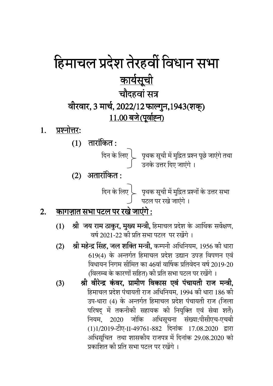# हिमाचल प्रदेश तेरहवीं विधान सभा <u>कार्यसूची</u> चौदहवां सत्र वीरवार, 3 मार्च, 2022/12 फाल्गुन,1943(शक्) 11.00 बजे (पूर्वाह्न)

- प्रश्नोत्तर: 1.
	- $(1)$  तारांकित:

 $(2)$  अतारांकित:

्दिन के लिए दिए पृथक सूची में मुद्रित प्रश्नों के उत्तर सभा ।<br>बिटल पर रखे जाएंगे ।

#### <u> कागज़ात सभा पटल पर रखे जाएंगे :</u> 2.

- श्री जय राम ठाकुर, मुख्य मन्त्री, हिमाचल प्रदेश के आर्थिक सर्वेक्षण,  $(1)$ वर्ष 2021-22 की प्रति सभा पटल पर रखेंगे ।
- श्री महेन्द्र सिंह, जल शक्ति मन्त्री, कम्पनी अधिनियम, 1956 की धारा  $(2)$ 619(4) के अन्तर्गत हिमाचल प्रदेश उद्यान उपज विपणन एवं विधायन निगम सीमित का 46वां वार्षिक प्रतिवेदन वर्ष 2019-20 (विलम्ब के कारणों सहित) की प्रति सभा पटल पर रखेंगे ।
- श्री वीरेन्द्र कंवर. ग्रामीण विकास एवं पंचायती राज मन्त्री.  $(3)$ हिमाचल प्रदेश पंचायती राज अधिनियम, 1994 की धारा 186 की उप-धारा (4) के अन्तर्गत हिमाचल प्रदेश पंचायती राज (जिला परिषद् में तकनीकी सहायक की नियुक्ति एवं सेवा शर्तें) नियम, 2020 जोकि अधिसूचना संख्या:पीसीएच-एचबी (1)1/2019-टीए-II-49761-882 दिनांक 17.08.2020 द्वारा अधिसूचित तथा शासकीय राजपत्र में दिनांक 29.08.2020 को प्रकाशित की प्रति सभा पटल पर रखेंगे ।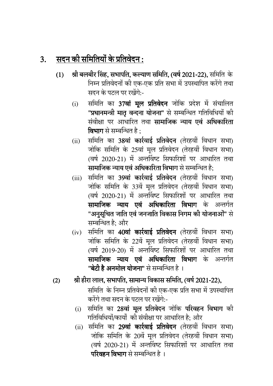### $3.$  सदन की समितियों के प्रतिवेदन :

- $(1)$  श्री बलबीर सिंह, सभापति, कल्याण समिति, (वर्ष 2021-22), समिति के निम्न प्रतिवेदनों की एक-एक प्रति सभा में उपस्थापित करेंगे तथा सदन के पटल पर रखेंगे:-
	- (i) समिति का **37वां मूल प्रतिवेदन** जोकि प्रदेश मे सचालित "प्रधानमन्त्री मातृ वन्दना योजना" से सम्बन्धित गतिविधियों की संवीक्षा पर आधारित तथा **सामाजिक न्याय एवं अधिकारिता विभाग** से सम्बन्धित है :
	- (ii) समिति का 38**वां कार्रवाई प्रतिवेदन** (तेरहवीं विधान सभा) जोकि समिति के 25वां मूल प्रतिवेदन (तेरहवीं विधान सभा) (वर्ष 2020-21) में अन्तविष्ट सिफारिशों पर आधारित तथा सामाजिक न्याय एवं अधिकारिता विभाग से सम्बन्धित है:
	- (iii) समिति का 3**9वां कार्रवाई प्रतिवेदन** (तेरहवीं विधान सभा) जोकि समिति के 33वें मूल प्रतिवेदन (तेरहवीं विधान सभा) (वर्ष 2020-21) में अन्तविष्ट सिफारिशों पर आधारित तथा सामाजिक न्याय एवं अधिकारिता विभाग के अन्तर्गत "अनुसूचित जाति एवं जनजाति विकास निगम की योजनाओं" से सम्बन्धित है: और
	- $(iv)$  समिति का 40वां कार्रवाई प्रतिवेदन (तेरहवीं विधान सभा) जोकि समिति के 22वें मूल प्रतिवेदन (तेरहवीं विधान सभा) (वर्ष 2019-20) में अन्तविष्ट सिफारिशों पर आधारित तथा **सामाजिक न्याय एवं अधिकारिता विभाग** के अन्तर्गत "<mark>बेटी है अनमोल योजना</mark>" से सम्बन्धित है ।
- $(2)$  श्री हीरा लाल, सभापति, सामान्य विकास समिति, (वर्ष 2021-22),
	- समिति के निम्न प्रतिवेदनों की एक-एक प्रति सभा में उपस्थापित करेंगे तथा सदन के पटल पर रखेंगे:-
	- (i) समिति का 28**वां मूल प्रतिवेदन** जोकि **परिवहन विभाग** की गतिविधियों/कार्यों की संवीक्षा पर आधारित है; और
	- (ii) समिति का 2**9वां कार्रवाई प्रतिवेदन** (तेरहवीं विधान सभा) जोकि समिति के 20वें मूल प्रतिवेदन (तेरहवीं विधान सभा) (वर्ष 2020-21) में अन्तविष्ट सिफारिशों पर आधारित तथा परिवहन विभाग से सम्बन्धित है ।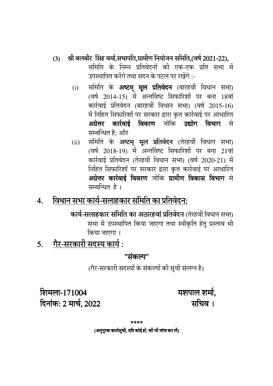#### श्री बलबीर सिंह वर्मा,सभापति,ग्रामीण नियोजन समिति,(वर्ष 2021-22),  $(3)$

समिति के निम्न प्रतिवेदनों की एक-एक प्रति सभा में उपस्थापित करेंगे तथा सदन के पटल पर रखेंगे :-

- समिति के <mark>अष्टम् मूल प्रतिवेदन</mark> (बारहवीं विधान सभा)<br>(वर्ष 2014-15) में अन्तर्विष्ट सिफारिशों पर बना 18वां  $(i)$ कार्रवाई प्रतिवेदन (बारहवीं विधान सभा) (वर्ष 2015-16) में निहित सिफारिशों पर सरकार द्वारा कृत कार्रवाई पर आधारित अग्रेत्तर कार्रवाई विवरण जोकि उद्योग विभाग से सम्बन्धित है: और
- समिति के अष्टम् मूल प्रतिवेदन (तेरहवीं विधान सभा)  $(ii)$ (वर्ष 2018-19) में अन्तर्विष्ट सिफारिशों पर बना 21वां कार्रवाई प्रतिवेदन (तेरहवीं विधान सभा) (वर्ष 2020-21) में निहित सिफारिशों पर सरकार द्वारा कृत कार्रवाई पर आधारित अग्रेत्तर कार्रवाई विवरण जोकि ग्रामीण विकास विभाग से सम्बन्धित है।

#### विधान सभा कार्य-<u>सलाहकार समिति का प्रतिवेदन:</u>  $\overline{4}$ .

कार्य-सलाहकार समिति का अठारहवां प्रतिवेदन (तेरहवीं विधान सभा) सभा में उपस्थापित किया जाएगा तथा स्वीकृति हेतु प्रस्ताव भी किया जाएगा ।

गैर-सरकारी सदस्य कार्य :  $5<sub>l</sub>$ 

"संकल्प"

(गैर-सरकारी सदस्यों के संकल्पों की सूची संलग्न है)

शिमला-171004 दिनांक: 2 मार्च, 2022 यशपाल शर्मा. सचिव ।

\*\*\*\*

(अनुपुरक कार्यसूची, यदि कोई हो, की भी जांच कर लें)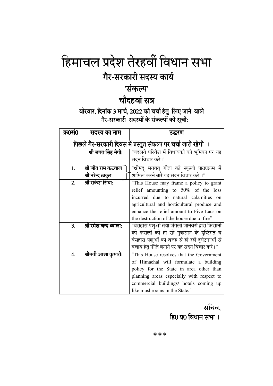# हिमाचल प्रदेश तेरहवीं विधान सभा गैर-सरकारी सदस्य कार्य

## 'संकल्प'

## चौदहवां सत्र

#### वीरवार, दिनांक 3 मार्च, 2022 को चर्चा हेतु लिए जाने वाले .<br>गैर-सरकारी सदस्यों के संकल्पों की सूची:

| क्र0सं0                                                         | सदस्य का नाम           | उद्धरण                                          |
|-----------------------------------------------------------------|------------------------|-------------------------------------------------|
| पिछले गैर-सरकारी दिवस में प्रस्तुत संकल्प पर चर्चा जारी रहेगी । |                        |                                                 |
|                                                                 | श्री जगत सिंह नेगी:    | "बदलते परिवेश में विधायको की भूमिका पर यह       |
|                                                                 |                        | सदन विचार करे।"                                 |
| 1.                                                              | श्री जीत राम कटवाल     | "श्रीमद् भगवत् गीता को स्कूली पाठ्यक्रम में     |
|                                                                 | श्री नरेन्द्र ठाकुर    | शामिल करने बारे यह सदन विचार करे।"              |
| 2.                                                              | श्री राकेश सिंघा:      | "This House may frame a policy to grant         |
|                                                                 |                        | relief amounting to 50% of the loss             |
|                                                                 |                        | incurred due to natural calamities<br>$\alpha$  |
|                                                                 |                        | agricultural and horticultural produce and      |
|                                                                 |                        | enhance the relief amount to Five Lacs on       |
|                                                                 |                        | the destruction of the house due to fire"       |
| 3.                                                              | श्री रमेश चन्द ध्वाला: | "बेसहारा पशुओं तथा जंगली जानवरों द्वारा किसानों |
|                                                                 |                        | की फसलों को हो रहे नुकसान के दृष्टिगत व         |
|                                                                 |                        | बेसहारा पशुओं की वजह से हो रही दुर्घटनाओं से    |
|                                                                 |                        | बचाव हेतु नीति बनाने पर यह सदन विचार करे। "     |
| 4.                                                              | श्रीमती आशा कुमारी:    | "This House resolves that the Government        |
|                                                                 |                        | of Himachal will formulate a building           |
|                                                                 |                        | policy for the State in area other than         |
|                                                                 |                        | planning areas especially with respect to       |
|                                                                 |                        | commercial buildings/ hotels coming up          |
|                                                                 |                        | like mushrooms in the State."                   |

### सचिव. हि0 प्र0 विधान सभा ।

\*\*\*